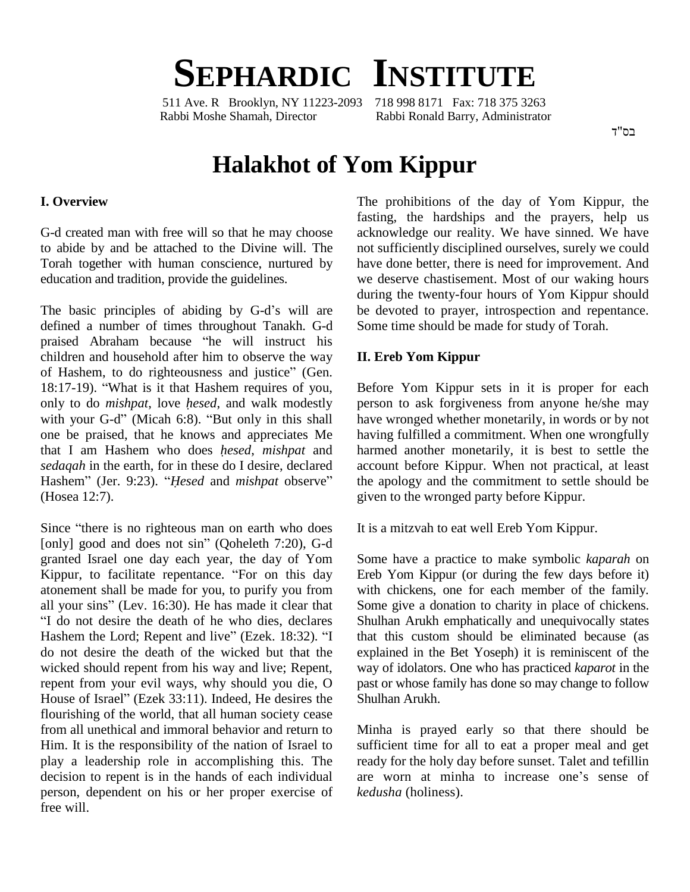# **SEPHARDIC INSTITUTE**

511 Ave. R Brooklyn, NY 11223-2093 718 998 8171 Fax: 718 375 3263 Rabbi Moshe Shamah, Director Rabbi Ronald Barry, Administrator

בס"ד

# **Halakhot of Yom Kippur**

#### **I. Overview**

G-d created man with free will so that he may choose to abide by and be attached to the Divine will. The Torah together with human conscience, nurtured by education and tradition, provide the guidelines.

The basic principles of abiding by G-d's will are defined a number of times throughout Tanakh. G-d The basic principles of abiding by G-d's will are be defined a number of times throughout Tanakh. G-d So praised Abraham because "he will instruct his children and household after him to observe the way praised Abraham because "he will instruct his children and household after him to observe the way of Hashem, to do righteousness and justice" (Gen. children and household after him to observe the way<br>of Hashem, to do righteousness and justice" (Gen.<br>18:17-19). "What is it that Hashem requires of you, of Hashem, to do righteousness and justice" (Gen.<br>18:17-19). "What is it that Hashem requires of you, Befo<br>only to do *mishpat*, love *hesed*, and walk modestly perso 18:17-19). "What is it that Hashem requires of you,<br>only to do *mishpat*, love *hesed*, and walk modestly<br>with your G-d" (Micah 6:8). "But only in this shall one be praised, that he knows and appreciates Me with your G-d" (Micah 6:8). "But only in this shall have<br>one be praised, that he knows and appreciates Me havis<br>that I am Hashem who does *hesed, mishpat* and harm *sedaqah* in the earth, for in these do I desire, declared that I am Hashem who does *hesed*, *mishpat* and *sedaqah* in the earth, for in these do I desire, declared Hashem" (Jer. 9:23). "Hesed and *mishpat* observe" (Hosea 12:7).

Since "there is no righteous man on earth who does" [only] good and does not sin" (Qoheleth 7:20), G-d granted Israel one day each year, the day of Yom [only] good and does not sin" (Qoheleth 7:20), G-d<br>granted Israel one day each year, the day of Yom Som<br>Kippur, to facilitate repentance. "For on this day Ereb atonement shall be made for you, to purify you from Kippur, to facilitate repentance. "For on this day<br>atonement shall be made for you, to purify you from<br>all your sins" (Lev. 16:30). He has made it clear that "I do not desire the death of he who dies, declares all your sins" (Lev. 16:30). He has made it clear that "I do not desire the death of he who dies, declares Hashem the Lord; Repent and live" (Ezek. 18:32). "I do not desire the death of the wicked but that the wicked should repent from his way and live; Repent, repent from your evil ways, why should you die, O past or w wicked should repent from his way and live; Repent, way<br>repent from your evil ways, why should you die, O past<br>House of Israel" (Ezek 33:11). Indeed, He desires the Shu flourishing of the world, that all human society cease from all unethical and immoral behavior and return to Him. It is the responsibility of the nation of Israel to play a leadership role in accomplishing this. The ready for the holy day before sunset. Talet and tefillin decision to repent is in the hands of each individual are worn at minha to increase one's sense of decision to repent is in the hands of each individual person, dependent on his or her proper exercise of free will.

The prohibitions of the day of Yom Kippur, the fasting, the hardships and the prayers, help us acknowledge our reality. We have sinned. We have not sufficiently disciplined ourselves, surely we could have done better, there is need for improvement. And we deserve chastisement. Most of our waking hours during the twenty-four hours of Yom Kippur should be devoted to prayer, introspection and repentance. Some time should be made for study of Torah.

#### **II. Ereb Yom Kippur**

Before Yom Kippur sets in it is proper for each person to ask forgiveness from anyone he/she may have wronged whether monetarily, in words or by not having fulfilled a commitment. When one wrongfully harmed another monetarily, it is best to settle the account before Kippur. When not practical, at least the apology and the commitment to settle should be given to the wronged party before Kippur.

It is a mitzvah to eat well Ereb Yom Kippur.

Some have a practice to make symbolic *kaparah* on Ereb Yom Kippur (or during the few days before it) with chickens, one for each member of the family. Some give a donation to charity in place of chickens. Shulhan Arukh emphatically and unequivocally states that this custom should be eliminated because (as explained in the Bet Yoseph) it is reminiscent of the way of idolators. One who has practiced *kaparot* in the past or whose family has done so may change to follow Shulhan Arukh.

Minha is prayed early so that there should be sufficient time for all to eat a proper meal and get<br>ready for the holy day before sunset. Talet and tefillin<br>are worn at minha to increase one's sense of ready for the holy day before sunset. Talet and tefillin *kedusha* (holiness).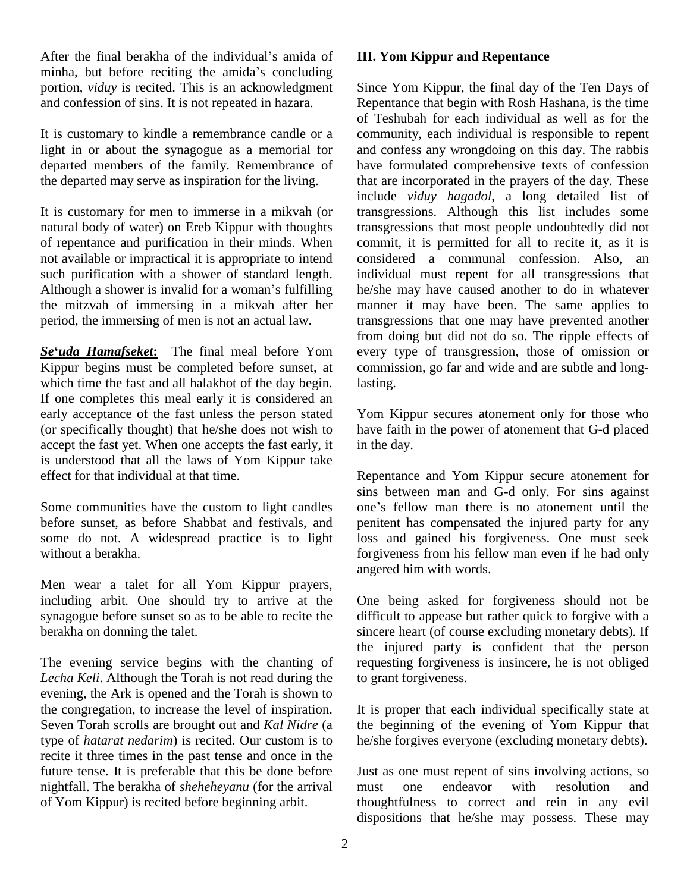After the final berakha of the individual's amida of minha, but before reciting the amida's concluding portion, *viduy* is recited. This is an acknowledgment and confession of sins. It is not repeated in hazara.

It is customary to kindle a remembrance candle or a light in or about the synagogue as a memorial for departed members of the family. Remembrance of the departed may serve as inspiration for the living.

It is customary for men to immerse in a mikvah (or natural body of water) on Ereb Kippur with thoughts of repentance and purification in their minds. When not available or impractical it is appropriate to intend<br>
such purification with a shower of standard length. indiv<br>
Although a shower is invalid for a woman's fulfilling he/sh such purification with a shower of standard length. the mitzvah of immersing in a mikvah after her period, the immersing of men is not an actual law.

*Se***ë***uda Hamafseket***:** The final meal before Yom Kippur begins must be completed before sunset, at which time the fast and all halakhot of the day begin. If one completes this meal early it is considered an early acceptance of the fast unless the person stated (or specifically thought) that he/she does not wish to accept the fast yet. When one accepts the fast early, it is understood that all the laws of Yom Kippur take effect for that individual at that time.

Some communities have the custom to light candles one's fellow man there is no atonement until the before sunset, as before Shabbat and festivals, and some do not. A widespread practice is to light without a berakha.

Men wear a talet for all Yom Kippur prayers, including arbit. One should try to arrive at the synagogue before sunset so as to be able to recite the berakha on donning the talet.

The evening service begins with the chanting of *Lecha Keli*. Although the Torah is not read during the evening, the Ark is opened and the Torah is shown to the congregation, to increase the level of inspiration. Seven Torah scrolls are brought out and *Kal Nidre* (a type of *hatarat nedarim*) is recited. Our custom is to recite it three times in the past tense and once in the future tense. It is preferable that this be done before nightfall. The berakha of *sheheheyanu* (for the arrival of Yom Kippur) is recited before beginning arbit.

#### **III. Yom Kippur and Repentance**

Since Yom Kippur, the final day of the Ten Days of Repentance that begin with Rosh Hashana, is the time of Teshubah for each individual as well as for the community, each individual is responsible to repent and confess any wrongdoing on this day. The rabbis have formulated comprehensive texts of confession that are incorporated in the prayers of the day. These include *viduy hagadol*, a long detailed list of transgressions. Although this list includes some transgressions that most people undoubtedly did not commit, it is permitted for all to recite it, as it is considered a communal confession. Also, an individual must repent for all transgressions that he/she may have caused another to do in whatever manner it may have been. The same applies to transgressions that one may have prevented another from doing but did not do so. The ripple effects of every type of transgression, those of omission or commission, go far and wide and are subtle and longlasting.

Yom Kippur secures atonement only for those who have faith in the power of atonement that G-d placed in the day.

Repentance and Yom Kippur secure atonement for sins between man and G-d only. For sins against one's fellow man there is no atonement until the sins between man and G-d only. For sins against penitent has compensated the injured party for any loss and gained his forgiveness. One must seek forgiveness from his fellow man even if he had only angered him with words.

One being asked for forgiveness should not be difficult to appease but rather quick to forgive with a sincere heart (of course excluding monetary debts). If the injured party is confident that the person requesting forgiveness is insincere, he is not obliged to grant forgiveness.

It is proper that each individual specifically state at the beginning of the evening of Yom Kippur that he/she forgives everyone (excluding monetary debts).

Just as one must repent of sins involving actions, so one endeavor with resolution and thoughtfulness to correct and rein in any evil dispositions that he/she may possess. These may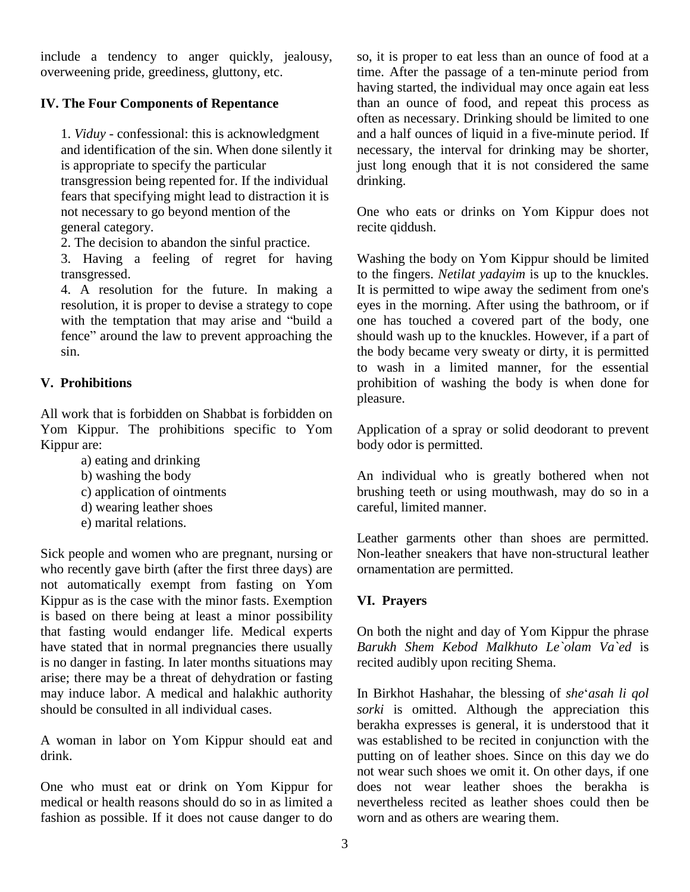include a tendency to anger quickly, jealousy, overweening pride, greediness, gluttony, etc.

#### **IV. The Four Components of Repentance**

1. *Viduy* - confessional: this is acknowledgment and identification of the sin. When done silently it is appropriate to specify the particular transgression being repented for. If the individual fears that specifying might lead to distraction it is not necessary to go beyond mention of the general category.

2. The decision to abandon the sinful practice.

3. Having a feeling of regret for having transgressed.

4. A resolution for the future. In making a It is<br>resolution, it is proper to devise a strategy to cope eyes<br>with the temptation that may arise and "build a one resolution, it is proper to devise a strategy to cope with the temptation that may arise and "build a fence" around the law to prevent approaching the sin.

## **V. Prohibitions**

All work that is forbidden on Shabbat is forbidden on Yom Kippur. The prohibitions specific to Yom Kippur are:

- a) eating and drinking
- b) washing the body
- c) application of ointments
- d) wearing leather shoes
- e) marital relations.

Sick people and women who are pregnant, nursing or who recently gave birth (after the first three days) are not automatically exempt from fasting on Yom Kippur as is the case with the minor fasts. Exemption is based on there being at least a minor possibility that fasting would endanger life. Medical experts have stated that in normal pregnancies there usually is no danger in fasting. In later months situations may arise; there may be a threat of dehydration or fasting may induce labor. A medical and halakhic authority should be consulted in all individual cases.

A woman in labor on Yom Kippur should eat and drink.

One who must eat or drink on Yom Kippur for medical or health reasons should do so in as limited a fashion as possible. If it does not cause danger to do

so, it is proper to eat less than an ounce of food at a time. After the passage of a ten-minute period from having started, the individual may once again eat less than an ounce of food, and repeat this process as often as necessary. Drinking should be limited to one and a half ounces of liquid in a five-minute period. If necessary, the interval for drinking may be shorter, just long enough that it is not considered the same drinking.

One who eats or drinks on Yom Kippur does not recite qiddush.

Washing the body on Yom Kippur should be limited to the fingers. *Netilat yadayim* is up to the knuckles. It is permitted to wipe away the sediment from one's eyes in the morning. After using the bathroom, or if one has touched a covered part of the body, one should wash up to the knuckles. However, if a part of the body became very sweaty or dirty, it is permitted to wash in a limited manner, for the essential prohibition of washing the body is when done for pleasure.

Application of a spray or solid deodorant to prevent body odor is permitted.

An individual who is greatly bothered when not brushing teeth or using mouthwash, may do so in a careful, limited manner.

Leather garments other than shoes are permitted. Non-leather sneakers that have non-structural leather ornamentation are permitted.

## **VI. Prayers**

On both the night and day of Yom Kippur the phrase *Barukh Shem Kebod Malkhuto Le`olam Va`ed* is recited audibly upon reciting Shema.

In Birkhot Hashahar, the blessing of*she*ë*asah li qol sorki* is omitted. Although the appreciation this berakha expresses is general, it is understood that it was established to be recited in conjunction with the putting on of leather shoes. Since on this day we do not wear such shoes we omit it. On other days, if one does not wear leather shoes the berakha is nevertheless recited as leather shoes could then be worn and as others are wearing them.